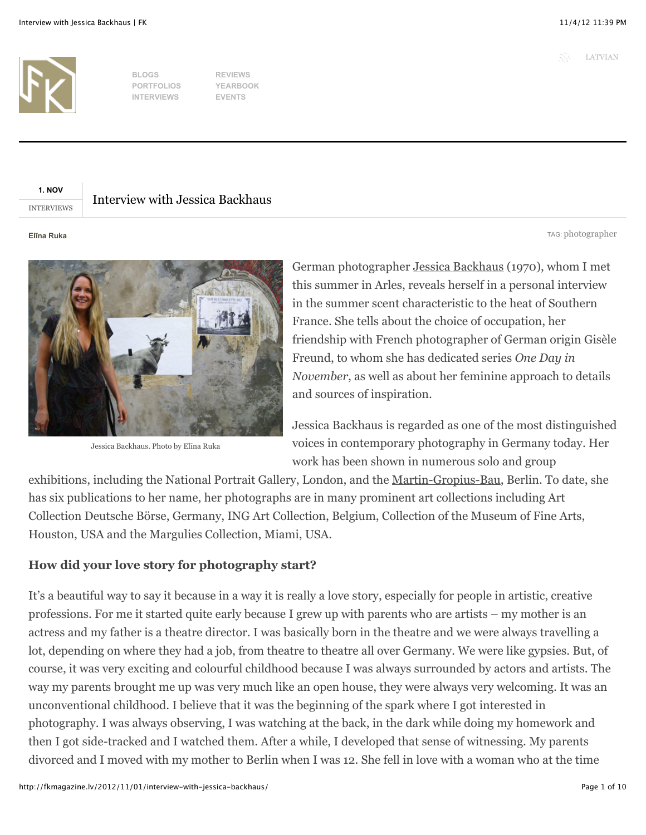TAG: [photographer](http://fkmagazine.lv/tag/photographer/)



**BLOGS PORTFOLIOS INTERVIEWS**

**REVIEWS YEARBOOK EVENTS**

# **1. NOV**

INTERVIEWS

# Interview with Jessica Backhaus

#### **El!na Ruka**



Jessica Backhaus. Photo by Elina Ruka

German photographer Jessica Backhaus (1970), whom I met this summer in Arles, reveals herself in a personal interview in the summer scent characteristic to the heat of Southern France. She tells about the choice of occupation, her friendship with French photographer of German origin Gisèle Freund, to whom she has dedicated series *One Day in November*, as well as about her feminine approach to details and sources of inspiration.

Jessica Backhaus is regarded as one of the most distinguished voices in contemporary photography in Germany today. Her work has been shown in numerous solo and group

exhibitions, including the National Portrait Gallery, London, and the Martin-Gropius-Bau, Berlin. To date, she has six publications to her name, her photographs are in many prominent art collections including Art Collection Deutsche Börse, Germany, ING Art Collection, Belgium, Collection of the Museum of Fine Arts, Houston, USA and the Margulies Collection, Miami, USA.

## **How did your love story for photography start?**

It's a beautiful way to say it because in a way it is really a love story, especially for people in artistic, creative professions. For me it started quite early because I grew up with parents who are artists – my mother is an actress and my father is a theatre director. I was basically born in the theatre and we were always travelling a lot, depending on where they had a job, from theatre to theatre all over Germany. We were like gypsies. But, of course, it was very exciting and colourful childhood because I was always surrounded by actors and artists. The way my parents brought me up was very much like an open house, they were always very welcoming. It was an unconventional childhood. I believe that it was the beginning of the spark where I got interested in photography. I was always observing, I was watching at the back, in the dark while doing my homework and then I got side-tracked and I watched them. After a while, I developed that sense of witnessing. My parents divorced and I moved with my mother to Berlin when I was 12. She fell in love with a woman who at the time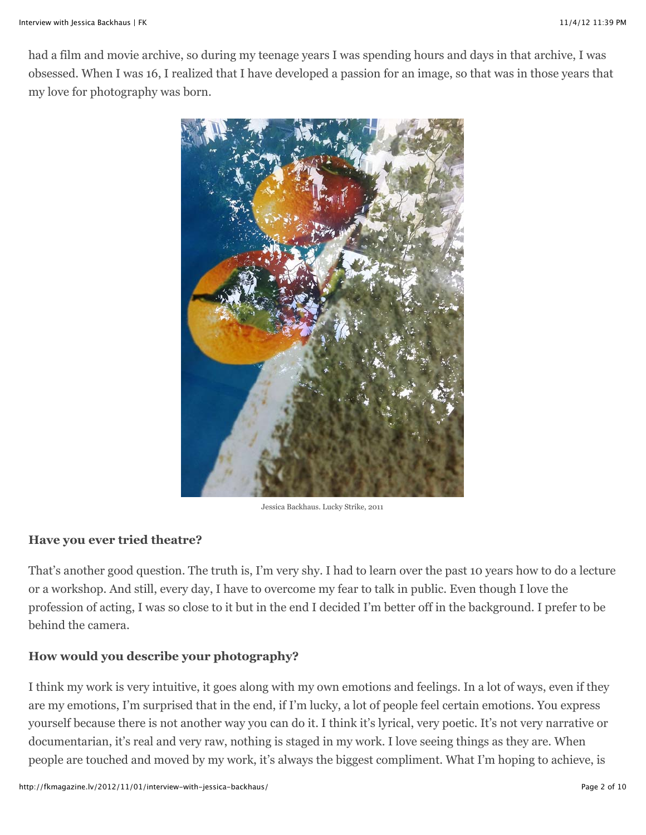had a film and movie archive, so during my teenage years I was spending hours and days in that archive, I was obsessed. When I was 16, I realized that I have developed a passion for an image, so that was in those years that my love for photography was born.



Jessica Backhaus. Lucky Strike, 2011

## **Have you ever tried theatre?**

That's another good question. The truth is, I'm very shy. I had to learn over the past 10 years how to do a lecture or a workshop. And still, every day, I have to overcome my fear to talk in public. Even though I love the profession of acting, I was so close to it but in the end I decided I'm better off in the background. I prefer to be behind the camera.

## **How would you describe your photography?**

I think my work is very intuitive, it goes along with my own emotions and feelings. In a lot of ways, even if they are my emotions, I'm surprised that in the end, if I'm lucky, a lot of people feel certain emotions. You express yourself because there is not another way you can do it. I think it's lyrical, very poetic. It's not very narrative or documentarian, it's real and very raw, nothing is staged in my work. I love seeing things as they are. When people are touched and moved by my work, it's always the biggest compliment. What I'm hoping to achieve, is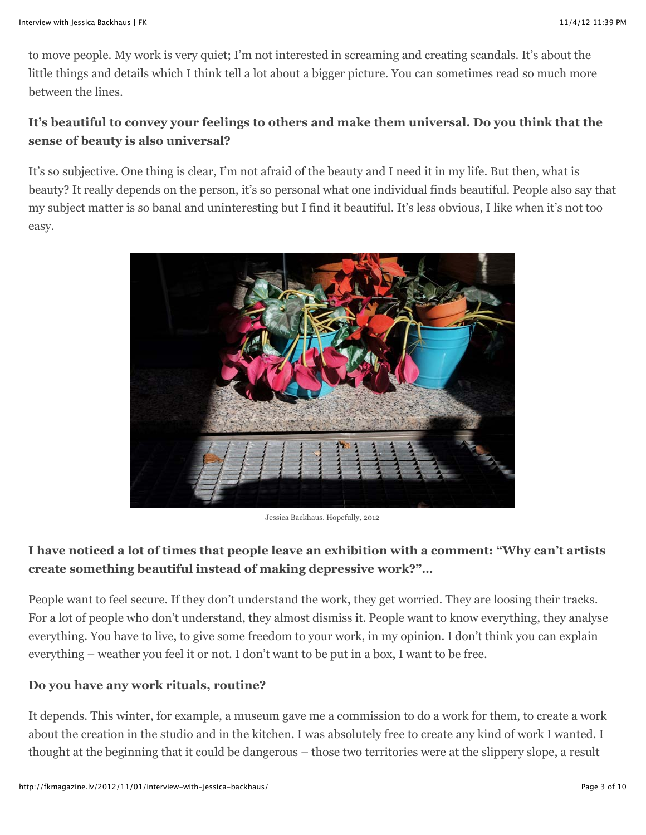to move people. My work is very quiet; I'm not interested in screaming and creating scandals. It's about the little things and details which I think tell a lot about a bigger picture. You can sometimes read so much more between the lines.

# **It's beautiful to convey your feelings to others and make them universal. Do you think that the sense of beauty is also universal?**

It's so subjective. One thing is clear, I'm not afraid of the beauty and I need it in my life. But then, what is beauty? It really depends on the person, it's so personal what one individual finds beautiful. People also say that my subject matter is so banal and uninteresting but I find it beautiful. It's less obvious, I like when it's not too easy.

![](_page_2_Picture_5.jpeg)

Jessica Backhaus. Hopefully, 2012

# **I have noticed a lot of times that people leave an exhibition with a comment: "Why can't artists create something beautiful instead of making depressive work?"…**

People want to feel secure. If they don't understand the work, they get worried. They are loosing their tracks. For a lot of people who don't understand, they almost dismiss it. People want to know everything, they analyse everything. You have to live, to give some freedom to your work, in my opinion. I don't think you can explain everything – weather you feel it or not. I don't want to be put in a box, I want to be free.

## **Do you have any work rituals, routine?**

It depends. This winter, for example, a museum gave me a commission to do a work for them, to create a work about the creation in the studio and in the kitchen. I was absolutely free to create any kind of work I wanted. I thought at the beginning that it could be dangerous – those two territories were at the slippery slope, a result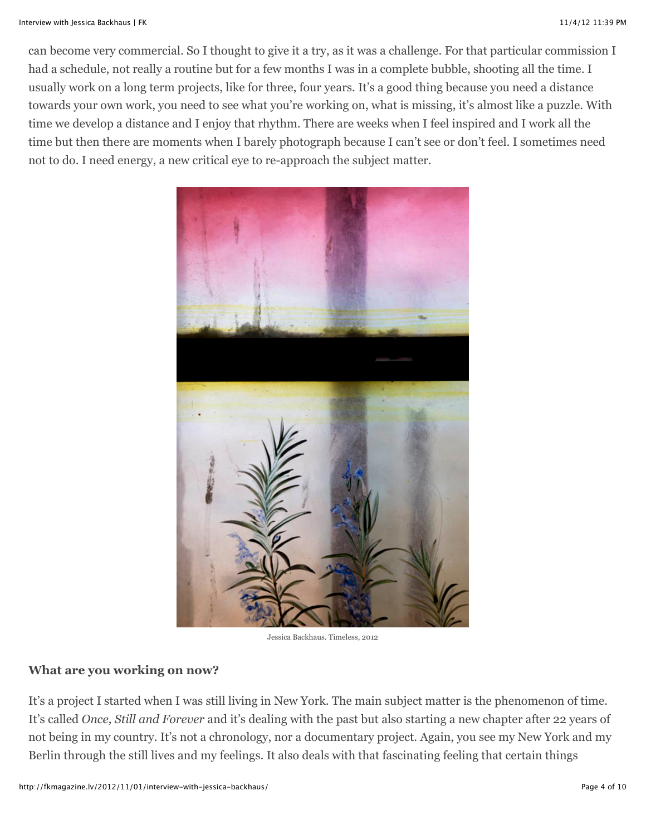can become very commercial. So I thought to give it a try, as it was a challenge. For that particular commission I had a schedule, not really a routine but for a few months I was in a complete bubble, shooting all the time. I usually work on a long term projects, like for three, four years. It's a good thing because you need a distance towards your own work, you need to see what you're working on, what is missing, it's almost like a puzzle. With time we develop a distance and I enjoy that rhythm. There are weeks when I feel inspired and I work all the time but then there are moments when I barely photograph because I can't see or don't feel. I sometimes need not to do. I need energy, a new critical eye to re-approach the subject matter.

![](_page_3_Picture_3.jpeg)

Jessica Backhaus. Timeless, 2012

#### **What are you working on now?**

It's a project I started when I was still living in New York. The main subject matter is the phenomenon of time. It's called *Once, Still and Forever* and it's dealing with the past but also starting a new chapter after 22 years of not being in my country. It's not a chronology, nor a documentary project. Again, you see my New York and my Berlin through the still lives and my feelings. It also deals with that fascinating feeling that certain things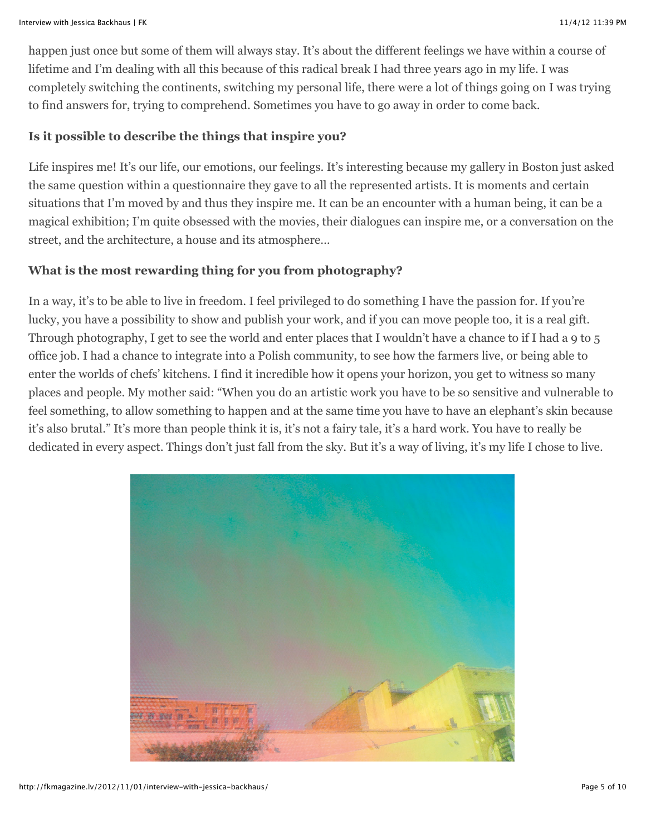happen just once but some of them will always stay. It's about the different feelings we have within a course of lifetime and I'm dealing with all this because of this radical break I had three years ago in my life. I was completely switching the continents, switching my personal life, there were a lot of things going on I was trying to find answers for, trying to comprehend. Sometimes you have to go away in order to come back.

## **Is it possible to describe the things that inspire you?**

Life inspires me! It's our life, our emotions, our feelings. It's interesting because my gallery in Boston just asked the same question within a questionnaire they gave to all the represented artists. It is moments and certain situations that I'm moved by and thus they inspire me. It can be an encounter with a human being, it can be a magical exhibition; I'm quite obsessed with the movies, their dialogues can inspire me, or a conversation on the street, and the architecture, a house and its atmosphere…

# **What is the most rewarding thing for you from photography?**

In a way, it's to be able to live in freedom. I feel privileged to do something I have the passion for. If you're lucky, you have a possibility to show and publish your work, and if you can move people too, it is a real gift. Through photography, I get to see the world and enter places that I wouldn't have a chance to if I had a 9 to 5 office job. I had a chance to integrate into a Polish community, to see how the farmers live, or being able to enter the worlds of chefs' kitchens. I find it incredible how it opens your horizon, you get to witness so many places and people. My mother said: "When you do an artistic work you have to be so sensitive and vulnerable to feel something, to allow something to happen and at the same time you have to have an elephant's skin because it's also brutal." It's more than people think it is, it's not a fairy tale, it's a hard work. You have to really be dedicated in every aspect. Things don't just fall from the sky. But it's a way of living, it's my life I chose to live.

![](_page_4_Picture_7.jpeg)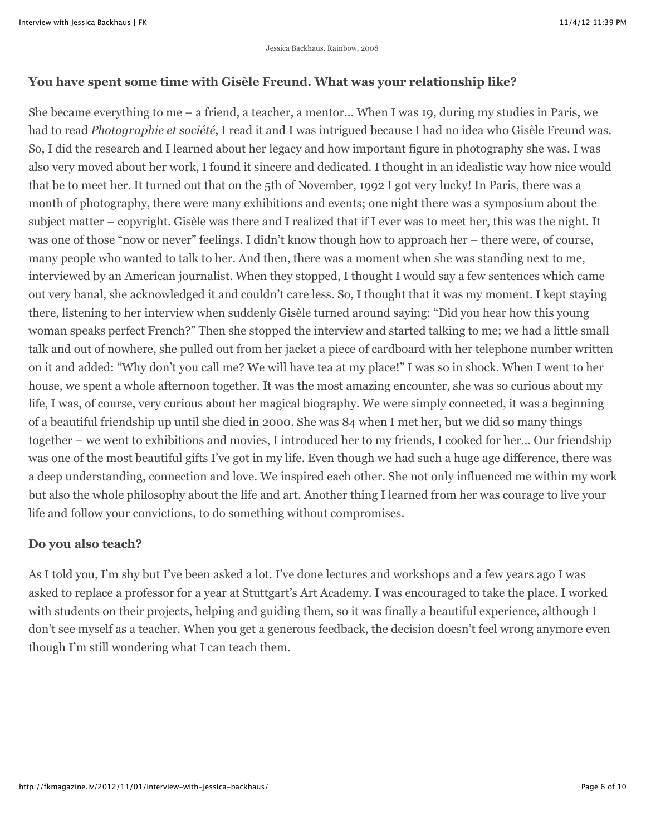## **You have spent some time with Gisèle Freund. What was your relationship like?**

She became everything to me – a friend, a teacher, a mentor… When I was 19, during my studies in Paris, we had to read *Photographie et société*, I read it and I was intrigued because I had no idea who Gisèle Freund was. So, I did the research and I learned about her legacy and how important figure in photography she was. I was also very moved about her work, I found it sincere and dedicated. I thought in an idealistic way how nice would that be to meet her. It turned out that on the 5th of November, 1992 I got very lucky! In Paris, there was a month of photography, there were many exhibitions and events; one night there was a symposium about the subject matter – copyright. Gisèle was there and I realized that if I ever was to meet her, this was the night. It was one of those "now or never" feelings. I didn't know though how to approach her – there were, of course, many people who wanted to talk to her. And then, there was a moment when she was standing next to me, interviewed by an American journalist. When they stopped, I thought I would say a few sentences which came out very banal, she acknowledged it and couldn't care less. So, I thought that it was my moment. I kept staying there, listening to her interview when suddenly Gisèle turned around saying: "Did you hear how this young woman speaks perfect French?" Then she stopped the interview and started talking to me; we had a little small talk and out of nowhere, she pulled out from her jacket a piece of cardboard with her telephone number written on it and added: "Why don't you call me? We will have tea at my place!" I was so in shock. When I went to her house, we spent a whole afternoon together. It was the most amazing encounter, she was so curious about my life, I was, of course, very curious about her magical biography. We were simply connected, it was a beginning of a beautiful friendship up until she died in 2000. She was 84 when I met her, but we did so many things together – we went to exhibitions and movies, I introduced her to my friends, I cooked for her… Our friendship was one of the most beautiful gifts I've got in my life. Even though we had such a huge age difference, there was a deep understanding, connection and love. We inspired each other. She not only influenced me within my work but also the whole philosophy about the life and art. Another thing I learned from her was courage to live your life and follow your convictions, to do something without compromises.

#### **Do you also teach?**

As I told you, I'm shy but I've been asked a lot. I've done lectures and workshops and a few years ago I was asked to replace a professor for a year at Stuttgart's Art Academy. I was encouraged to take the place. I worked with students on their projects, helping and guiding them, so it was finally a beautiful experience, although I don't see myself as a teacher. When you get a generous feedback, the decision doesn't feel wrong anymore even though I'm still wondering what I can teach them.